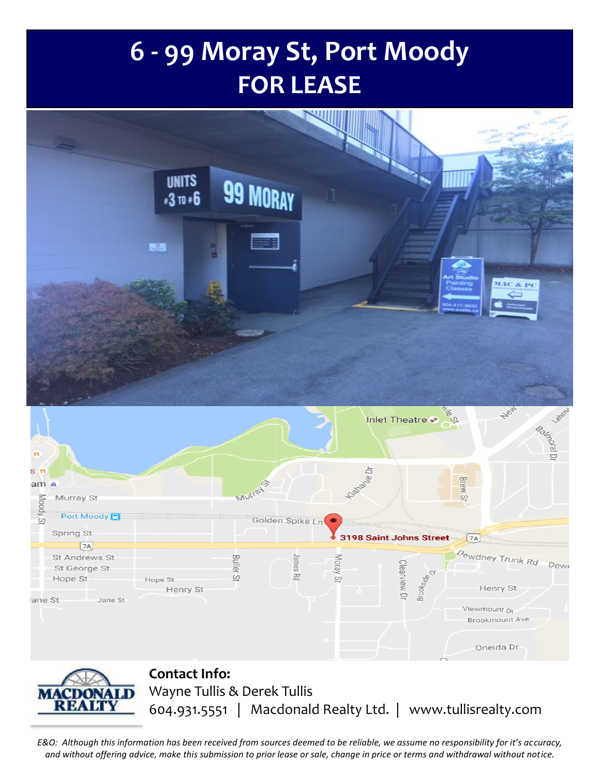## **6 - 99 Moray St, Port Moody FOR LEASE**



*E&O: Although this information has been received from sources deemed to be reliable, we assume no responsibility for it's accuracy, and without offering advice, make this submission to prior lease or sale, change in price or terms and withdrawal without notice.*